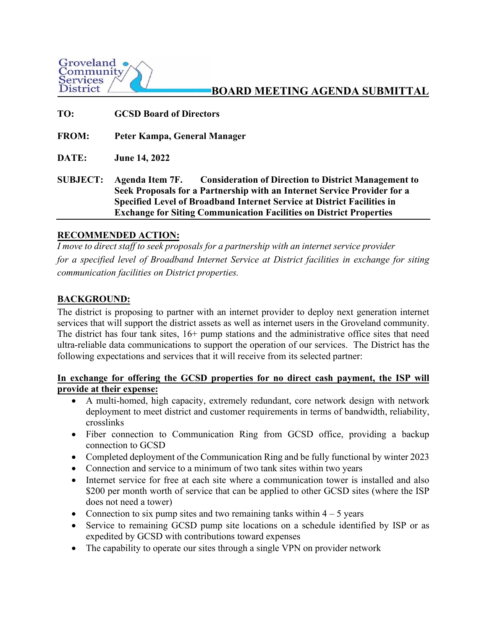

# **BOARD MEETING AGENDA SUBMITTAL**

**TO: GCSD Board of Directors FROM: Peter Kampa, General Manager DATE: June 14, 2022 SUBJECT: Agenda Item 7F. Consideration of Direction to District Management to Seek Proposals for a Partnership with an Internet Service Provider for a Specified Level of Broadband Internet Service at District Facilities in Exchange for Siting Communication Facilities on District Properties**

### **RECOMMENDED ACTION:**

*I* move to direct staff to seek proposals for a partnership with an internet service provider *for a specified level of Broadband Internet Service at District facilities in exchange for siting communication facilities on District properties.* 

# **BACKGROUND:**

The district is proposing to partner with an internet provider to deploy next generation internet services that will support the district assets as well as internet users in the Groveland community. The district has four tank sites,  $16+$  pump stations and the administrative office sites that need ultra-reliable data communications to support the operation of our services. The District has the following expectations and services that it will receive from its selected partner:

### **In exchange for offering the GCSD properties for no direct cash payment, the ISP will provide at their expense:**

- A multi-homed, high capacity, extremely redundant, core network design with network deployment to meet district and customer requirements in terms of bandwidth, reliability, crosslinks
- Fiber connection to Communication Ring from GCSD office, providing a backup connection to GCSD
- Completed deployment of the Communication Ring and be fully functional by winter 2023
- Connection and service to a minimum of two tank sites within two years
- Internet service for free at each site where a communication tower is installed and also \$200 per month worth of service that can be applied to other GCSD sites (where the ISP does not need a tower)
- Connection to six pump sites and two remaining tanks within  $4 5$  years
- Service to remaining GCSD pump site locations on a schedule identified by ISP or as expedited by GCSD with contributions toward expenses
- The capability to operate our sites through a single VPN on provider network